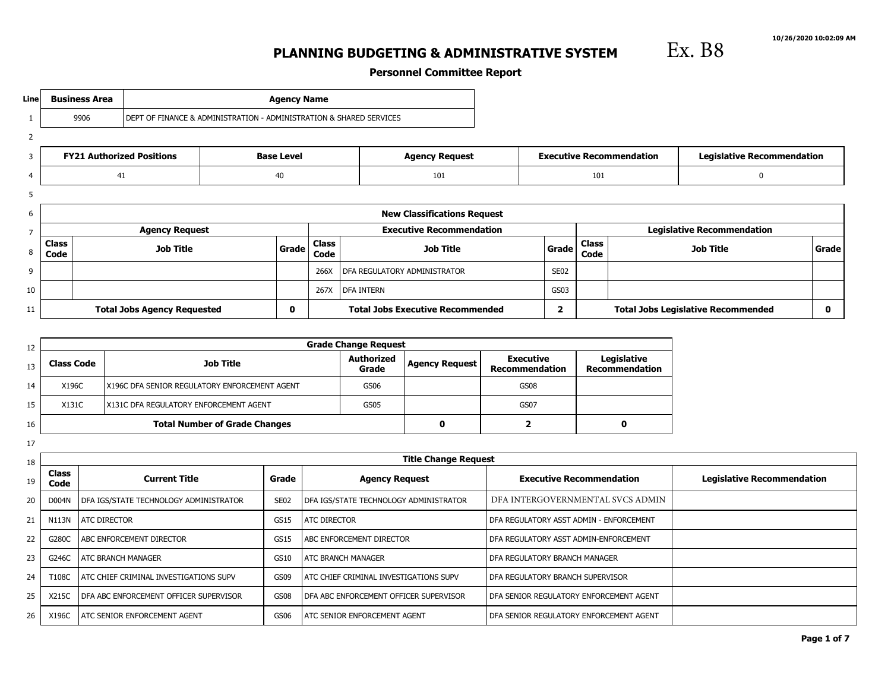Ex. B8

# **PLANNING BUDGETING & ADMINISTRATIVE SYSTEM**

**Personnel Committee Report**

| Line           | <b>Business Area</b>                     |                                    |                                                                     | <b>Agency Name</b>   |                       |                                         |                                   |                      |     |                                   |                                           |   |
|----------------|------------------------------------------|------------------------------------|---------------------------------------------------------------------|----------------------|-----------------------|-----------------------------------------|-----------------------------------|----------------------|-----|-----------------------------------|-------------------------------------------|---|
|                | 9906                                     |                                    | DEPT OF FINANCE & ADMINISTRATION - ADMINISTRATION & SHARED SERVICES |                      |                       |                                         |                                   |                      |     |                                   |                                           |   |
| $\overline{2}$ |                                          |                                    |                                                                     |                      |                       |                                         |                                   |                      |     |                                   |                                           |   |
| 3              |                                          | <b>FY21 Authorized Positions</b>   |                                                                     | <b>Base Level</b>    | <b>Agency Request</b> |                                         | <b>Executive Recommendation</b>   |                      |     | <b>Legislative Recommendation</b> |                                           |   |
| $\overline{4}$ | 41<br>40                                 |                                    |                                                                     |                      |                       | 101                                     |                                   |                      | 101 |                                   | $\Omega$                                  |   |
| 5              |                                          |                                    |                                                                     |                      |                       |                                         |                                   |                      |     |                                   |                                           |   |
| 6              |                                          |                                    |                                                                     |                      |                       | <b>New Classifications Request</b>      |                                   |                      |     |                                   |                                           |   |
| $\overline{7}$ |                                          | <b>Agency Request</b>              |                                                                     |                      |                       | <b>Executive Recommendation</b>         | <b>Legislative Recommendation</b> |                      |     |                                   |                                           |   |
| 8              | <b>Class</b><br><b>Job Title</b><br>Code |                                    | Grade                                                               | <b>Class</b><br>Code | <b>Job Title</b>      |                                         | Grade                             | <b>Class</b><br>Code |     | <b>Job Title</b>                  | Grade                                     |   |
| 9              |                                          |                                    |                                                                     |                      | 266X                  | DFA REGULATORY ADMINISTRATOR            |                                   | SE <sub>02</sub>     |     |                                   |                                           |   |
| 10             |                                          |                                    |                                                                     | 267X                 | DFA INTERN            |                                         | GS03                              |                      |     |                                   |                                           |   |
| 11             |                                          | <b>Total Jobs Agency Requested</b> |                                                                     | 0                    |                       | <b>Total Jobs Executive Recommended</b> |                                   | 2                    |     |                                   | <b>Total Jobs Legislative Recommended</b> | 0 |

| 12 |                   |                                                 | <b>Grade Change Request</b> |                       |                                           |                                      |
|----|-------------------|-------------------------------------------------|-----------------------------|-----------------------|-------------------------------------------|--------------------------------------|
| 13 | <b>Class Code</b> | <b>Job Title</b>                                | <b>Authorized</b><br>Grade  | <b>Agency Request</b> | <b>Executive</b><br><b>Recommendation</b> | Legislative<br><b>Recommendation</b> |
| 14 | X196C             | I X196C DFA SENIOR REGULATORY ENFORCEMENT AGENT | GS06                        |                       | GS08                                      |                                      |
| 15 | X131C             | <b>IX131C DFA REGULATORY ENFORCEMENT AGENT</b>  | GS05                        |                       | GS07                                      |                                      |
| 16 |                   | <b>Total Number of Grade Changes</b>            |                             |                       |                                           |                                      |

17

| 18 |                                              |                                                 |                  | <b>Title Change Request</b>                    |                                           |                                   |
|----|----------------------------------------------|-------------------------------------------------|------------------|------------------------------------------------|-------------------------------------------|-----------------------------------|
| 19 | <b>Class</b><br><b>Current Title</b><br>Code |                                                 | Grade            | <b>Agency Request</b>                          | <b>Executive Recommendation</b>           | <b>Legislative Recommendation</b> |
| 20 | D004N                                        | DFA IGS/STATE TECHNOLOGY ADMINISTRATOR          | SE <sub>02</sub> | DFA IGS/STATE TECHNOLOGY ADMINISTRATOR         | DFA INTERGOVERNMENTAL SVCS ADMIN          |                                   |
| 21 | N113N                                        | <b>ATC DIRECTOR</b>                             | <b>GS15</b>      | <b>ATC DIRECTOR</b>                            | I DFA REGULATORY ASST ADMIN - ENFORCEMENT |                                   |
| 22 | G280C                                        | <b>ABC ENFORCEMENT DIRECTOR</b>                 | GS15             | <b>I ABC ENFORCEMENT DIRECTOR</b>              | DFA REGULATORY ASST ADMIN-ENFORCEMENT     |                                   |
| 23 | G246C                                        | <b>ATC BRANCH MANAGER</b>                       | GS10             | <b>ATC BRANCH MANAGER</b>                      | DFA REGULATORY BRANCH MANAGER             |                                   |
| 24 | T108C                                        | <b>LATC CHIEF CRIMINAL INVESTIGATIONS SUPV</b>  | GS09             | <b>LATC CHIEF CRIMINAL INVESTIGATIONS SUPV</b> | I DFA REGULATORY BRANCH SUPERVISOR        |                                   |
| 25 | X215C                                        | <b>I DFA ABC ENFORCEMENT OFFICER SUPERVISOR</b> | <b>GS08</b>      | <b>IDFA ABC ENFORCEMENT OFFICER SUPERVISOR</b> | I DFA SENIOR REGULATORY ENFORCEMENT AGENT |                                   |
| 26 | X196C                                        | LATC SENIOR ENFORCEMENT AGENT                   | GS06             | <b>LATC SENIOR ENFORCEMENT AGENT</b>           | I DFA SENIOR REGULATORY ENFORCEMENT AGENT |                                   |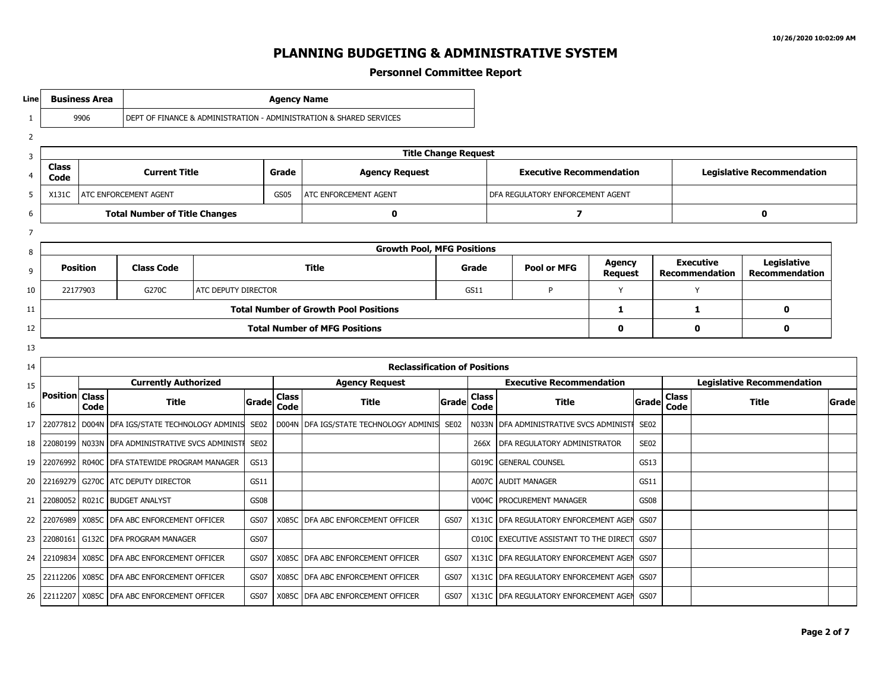**Personnel Committee Report**

1 2 3 4 5 6 7 8 9 10 11 12 13 14 15 16 17 18 19 20 21 22 23 24 25 26 **Line Business Area Agency Name** 9906 DEPT OF FINANCE & ADMINISTRATION - ADMINISTRATION & SHARED SERVICES **Title Change Request Class Current Title Grade Code C Code Agency Request Executive Recommendation Legislative Recommendation** X131C ATC ENFORCEMENT AGENT GS05 ATC ENFORCEMENT AGENT DFA REGULATORY ENFORCEMENT AGENT **Total Number of Title Changes 0 7 0 Growth Pool, MFG Positions Position Class Code Title Grade Pool or MFG Agency Request Executive Recommendation Legislative Recommendation** 22177903 G270C ATC DEPUTY DIRECTOR GS11 P Y Y **Total Number of Growth Pool Positions 1 1 0 Total Number of MFG Positions 0 0 0 Reclassification of Positions Position Class Currently Authorized Code Title Grade Agency Request Class Code Title Grade Executive Recommendation Class Code Title Grade Legislative Recommendation Class Code Title Grade** 22077812 D004N DFA IGS/STATE TECHNOLOGY ADMINIS SE02 D004N DFA IGS/STATE TECHNOLOGY ADMINIS SE02 N033N DFA ADMINISTRATIVE SVCS ADMINISTR SE02 22080199 N033N DFA ADMINISTRATIVE SVCS ADMINISTR SE02 266X DTA SENIES 266X DFA REGULATORY ADMINISTRATOR SE02 22076992 R040C DFA STATEWIDE PROGRAM MANAGER GS13 GOST GENERAL COUNSEL GOST GENERAL COUNSEL GS13 22169279 G270C ATC DEPUTY DIRECTOR GS11 GS11 A007C AUDIT MANAGER GS11 22080052 R021C BUDGET ANALYST GS08 V004C PROCUREMENT MANAGER GS08 22076989 X085C DFA ABC ENFORCEMENT OFFICER GS07 X085C DFA ABC ENFORCEMENT OFFICER GS07 X131C DFA REGULATORY ENFORCEMENT AGENTGS07 22080161 G132C DFA PROGRAM MANAGER GS07 GS07 C010C EXECUTIVE ASSISTANT TO THE DIRECT GS07 22109834 X085C DFA ABC ENFORCEMENT OFFICER GS07 X085C DFA ABC ENFORCEMENT OFFICER GS07 X131C DFA REGULATORY ENFORCEMENT AGENTGS07 22112206 X085C DFA ABC ENFORCEMENT OFFICER GS07 X085C DFA ABC ENFORCEMENT OFFICER GS07 X131C DFA REGULATORY ENFORCEMENT AGENTGS07 22112207 X085C DFA ABC ENFORCEMENT OFFICER (GS07 X085C DFA ABC ENFORCEMENT OFFICER (GS07 X131C DFA REGULATORY ENFORCEMENT AGEN GS07 3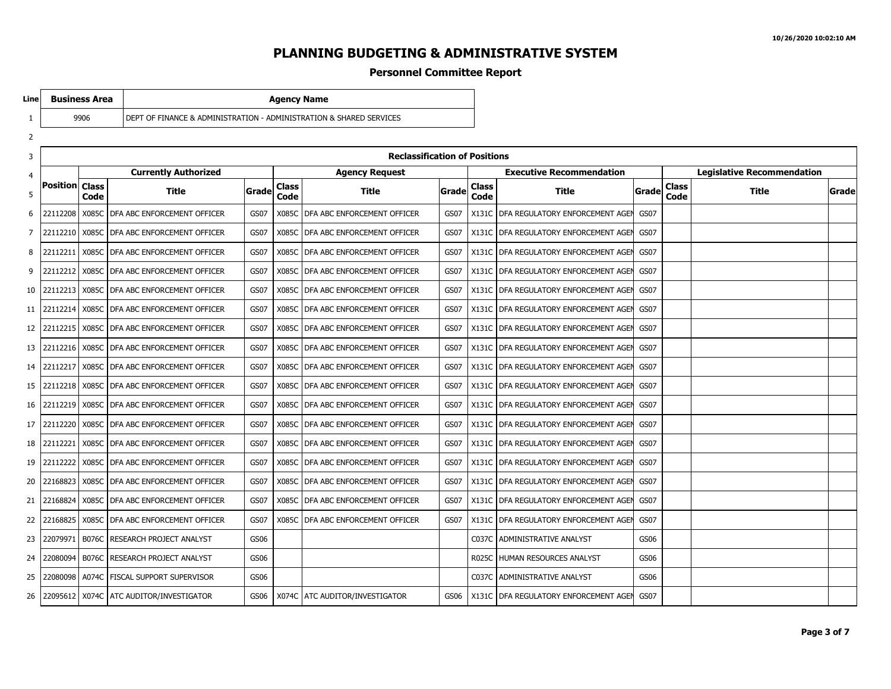### **Personnel Committee Report**

**Line**

9906 DEPT OF FINANCE & ADMINISTRATION - ADMINISTRATION & SHARED SERVICES

**Business Area Agency Name** 

| 3  | <b>Reclassification of Positions</b> |              |                                                |       |                       |                                     |        |                      |                                   |                                   |                      |              |       |
|----|--------------------------------------|--------------|------------------------------------------------|-------|-----------------------|-------------------------------------|--------|----------------------|-----------------------------------|-----------------------------------|----------------------|--------------|-------|
| 4  |                                      |              | <b>Currently Authorized</b>                    |       | <b>Agency Request</b> |                                     |        |                      | <b>Executive Recommendation</b>   | <b>Legislative Recommendation</b> |                      |              |       |
| 5  | <b>Position   Class</b>              | Code         | Title                                          | Grade | <b>Class</b><br>Code  | Title                               | Gradel | <b>Class</b><br>Code | <b>Title</b>                      | Grade                             | <b>Class</b><br>Code | <b>Title</b> | Grade |
| 6  | 22112208                             |              | X085C   DFA ABC ENFORCEMENT OFFICER            | GS07  |                       | X085C   DFA ABC ENFORCEMENT OFFICER | GS07   | X131C                | DFA REGULATORY ENFORCEMENT AGEN   | GS07                              |                      |              |       |
| 7  | 22112210                             |              | X085C   DFA ABC ENFORCEMENT OFFICER            | GS07  |                       | X085C   DFA ABC ENFORCEMENT OFFICER | GS07   | X131C                | DFA REGULATORY ENFORCEMENT AGEN   | GS07                              |                      |              |       |
| 8  | 22112211                             | X085C        | I DFA ABC ENFORCEMENT OFFICER                  | GS07  |                       | X085C I DFA ABC ENFORCEMENT OFFICER | GS07   | X131C                | DFA REGULATORY ENFORCEMENT AGEN   | <b>GS07</b>                       |                      |              |       |
| 9  | 22112212                             | X085C        | I DFA ABC ENFORCEMENT OFFICER                  | GS07  |                       | X085C I DFA ABC ENFORCEMENT OFFICER | GS07   | X131C                | DFA REGULATORY ENFORCEMENT AGEN   | GS07                              |                      |              |       |
| 10 | 22112213                             |              | X085C I DFA ABC ENFORCEMENT OFFICER            | GS07  |                       | X085C   DFA ABC ENFORCEMENT OFFICER | GS07   | X131C                | I DFA REGULATORY ENFORCEMENT AGEN | GS07                              |                      |              |       |
| 11 | 22112214                             |              | X085C   DFA ABC ENFORCEMENT OFFICER            | GS07  |                       | X085C   DFA ABC ENFORCEMENT OFFICER | GS07   | X131C                | DFA REGULATORY ENFORCEMENT AGEN   | GS07                              |                      |              |       |
| 12 |                                      |              | 22112215   X085C   DFA ABC ENFORCEMENT OFFICER | GS07  |                       | X085C   DFA ABC ENFORCEMENT OFFICER | GS07   | X131C                | DFA REGULATORY ENFORCEMENT AGEN   | GS07                              |                      |              |       |
| 13 | 22112216                             |              | X085C I DFA ABC ENFORCEMENT OFFICER            | GS07  |                       | X085C I DFA ABC ENFORCEMENT OFFICER | GS07   | X131C                | DFA REGULATORY ENFORCEMENT AGEN   | <b>GS07</b>                       |                      |              |       |
| 14 | 22112217                             |              | X085C I DFA ABC ENFORCEMENT OFFICER            | GS07  |                       | X085C I DFA ABC ENFORCEMENT OFFICER | GS07   | X131C                | DFA REGULATORY ENFORCEMENT AGEN   | GS07                              |                      |              |       |
| 15 | 22112218                             | X085C        | <b>I DFA ABC ENFORCEMENT OFFICER</b>           | GS07  |                       | X085C   DFA ABC ENFORCEMENT OFFICER | GS07   | X131C                | DFA REGULATORY ENFORCEMENT AGEN   | <b>GS07</b>                       |                      |              |       |
| 16 | 22112219                             |              | X085C   DFA ABC ENFORCEMENT OFFICER            | GS07  | X085C                 | DFA ABC ENFORCEMENT OFFICER         | GS07   | X131C                | DFA REGULATORY ENFORCEMENT AGEN   | GS07                              |                      |              |       |
| 17 | 22112220                             |              | X085C   DFA ABC ENFORCEMENT OFFICER            | GS07  |                       | X085C   DFA ABC ENFORCEMENT OFFICER | GS07   | X131C                | DFA REGULATORY ENFORCEMENT AGEN   | GS07                              |                      |              |       |
| 18 | 22112221                             |              | X085C   DFA ABC ENFORCEMENT OFFICER            | GS07  |                       | X085C   DFA ABC ENFORCEMENT OFFICER | GS07   | X131C                | DFA REGULATORY ENFORCEMENT AGEN   | GS07                              |                      |              |       |
| 19 | 22112222                             |              | X085C I DFA ABC ENFORCEMENT OFFICER            | GS07  |                       | X085C   DFA ABC ENFORCEMENT OFFICER | GS07   | X131C                | DFA REGULATORY ENFORCEMENT AGEN   | GS07                              |                      |              |       |
| 20 | 22168823                             |              | X085C I DFA ABC ENFORCEMENT OFFICER            | GS07  |                       | X085C   DFA ABC ENFORCEMENT OFFICER | GS07   | X131C                | DFA REGULATORY ENFORCEMENT AGEN   | GS07                              |                      |              |       |
| 21 | 22168824                             | X085C        | <b>I DFA ABC ENFORCEMENT OFFICER</b>           | GS07  |                       | X085C I DFA ABC ENFORCEMENT OFFICER | GS07   | X131C                | DFA REGULATORY ENFORCEMENT AGEN   | GS07                              |                      |              |       |
| 22 | 22168825                             | X085C        | DFA ABC ENFORCEMENT OFFICER                    | GS07  |                       | X085C   DFA ABC ENFORCEMENT OFFICER | GS07   | X131C                | DFA REGULATORY ENFORCEMENT AGEN   | GS07                              |                      |              |       |
| 23 | 22079971                             | <b>B076C</b> | RESEARCH PROJECT ANALYST                       | GS06  |                       |                                     |        | C037C                | ADMINISTRATIVE ANALYST            | GS06                              |                      |              |       |
| 24 | 22080094                             |              | B076C RESEARCH PROJECT ANALYST                 | GS06  |                       |                                     |        | R025C                | HUMAN RESOURCES ANALYST           | GS06                              |                      |              |       |
| 25 | 22080098                             |              | A074C   FISCAL SUPPORT SUPERVISOR              | GS06  |                       |                                     |        | C037C                | <b>ADMINISTRATIVE ANALYST</b>     | GS06                              |                      |              |       |
| 26 |                                      |              | 22095612   X074C   ATC AUDITOR/INVESTIGATOR    | GS06  |                       | X074C   ATC AUDITOR/INVESTIGATOR    | GS06   | X131C                | DFA REGULATORY ENFORCEMENT AGEN   | GS07                              |                      |              |       |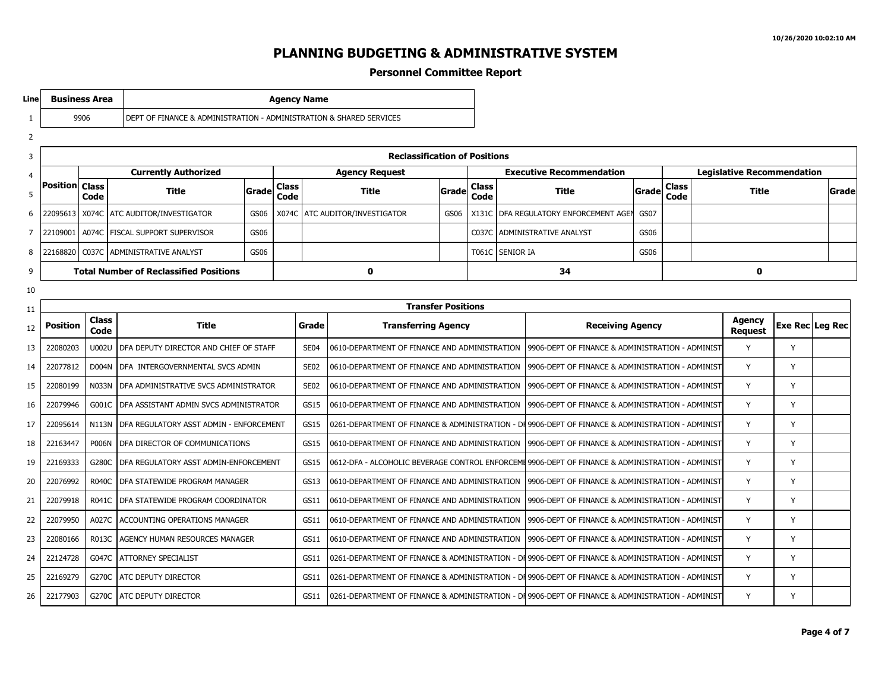**Legislative Recommendation**

**Code Title Grade**

**Request Exe Rec Leg Rec**

**Class**

#### **PLANNING BUDGETING & ADMINISTRATIVE SYSTEM**

#### **Personnel Committee Report**

1 2 3 4 5 6 7 8 9 10 11 12 13 14 15 16 17 18 19 20 21 22 23 24 25 26 **Line Business Area Agency Name** 9906 DEPT OF FINANCE & ADMINISTRATION - ADMINISTRATION & SHARED SERVICES **Reclassification of Positions Position Class Currently Authorized Code Title Grade Agency Request Class Code Title Grade Executive Recommendation Class Code Title Grade** 22095613 X074C ATC AUDITOR/INVESTIGATOR GS06 X074C ATC AUDITOR/INVESTIGATOR GS06 X131C DFA REGULATORY ENFORCEMENT AGENTS 22109001 A074C FISCAL SUPPORT SUPERVISOR GS06 GS06 CO237C ADMINISTRATIVE ANALYST GS06 22168820 C037C ADMINISTRATIVE ANALYST GS06 NOTE: NOTE: NOTE: NOTE: NOTE: NOTE: NOTE: NOTE: NOTE: NOTE: NO **Total Number of Reclassified Positions 0 34 0 Transfer Positions Position Class Code Title Grade Transferring Agency Receiving Agency Agency** 22080203 U002U DFA DEPUTY DIRECTOR AND CHIEF OF STAFF SE04 0610-DEPARTMENT OF FINANCE AND ADMINISTRATION |9906-DEPT OF FINANCE & ADMINISTRATION - ADMINIST |Y | Y 22077812 DO04N DEA INTERGOVERNMENTAL SVCS ADMIN SE02 0610-DEPARTMENT OF FINANCE AND ADMINISTRATION 19906-DEPT OF FINANCE & ADMINISTRATION - ADMINISTRATION - ADMINISTRATION & SHARED SERVICES ADMINISTRATION - ADMINISTRATION 22080199 N033N DFA ADMINISTRATIVE SVCS ADMINISTRATOR SE02 0610-DEPARTMENT OF FINANCE AND ADMINISTRATION 19906-DEPT OF FINANCE & ADMINISTRATION - ADMINISTRATION - Y STARED SERVICES OF SHARED SERVICES OF SHARED SERVICES ADMI 22079946 G001C DFA ASSISTANT ADMIN SVCS ADMINISTRATOR (GS15 | 0610-DEPARTMENT OF FINANCE AND ADMINISTRATION | 9906-DEPT OF FINANCE & ADMINISTRATION - ADMINIST | Y | Y 22095614 N113N DFA REGULATORY ASST ADMIN - ENFORCEMENT GS15 0261-DEPARTMENT OF FINANCE & ADMINISTRATION - DI 9906-DEPT OF FINANCE & ADMINISTRATION - ADMINISTRATION - ADMINIST 22163447 POO6N DEA DIRECTOR OF COMMUNICATIONS GS15 0610-DEPARTMENT OF FINANCE AND ADMINISTRATION 19906-DEPT OF FINANCE & ADMINISTRATION - ADMINISTRATION - ADMINISTRATION ADMINISTRATION SERVICES ARE RELIXANCE & SHARED SERVI 22169333 G280C DFA REGULATORY ASST ADMIN-ENFORCEMENT (GS15 | 0612-DFA - ALCOHOLIC BEVERAGE CONTROL ENFORCEMI 9906-DEPT OF FINANCE & ADMINISTRATION - ADMINIST |Y | Y 22076992 R040C DFA STATEWIDE PROGRAM MANAGER GS13 0610-DEPARTMENT OF FINANCE AND ADMINISTRATION 19906-DEPT OF FINANCE & ADMINISTRATION - ADMINISTRATION & SHARED SERVICES Y THE Y 22079918 R041C DFA STATEWIDE PROGRAM COORDINATOR (GS11 0610-DEPARTMENT OF FINANCE AND ADMINISTRATION 19906-DEPT OF FINANCE & ADMINISTRATION - ADMINISTRATION (Y) 22079950 A027C ACCOUNTING OPERATIONS MANAGER GS11 0610-DEPARTMENT OF FINANCE AND ADMINISTRATION |9906-DEPT OF FINANCE & ADMINISTRATION - ADMINIST |Y | Y 22080166 R013C AGENCY HUMAN RESOURCES MANAGER GS11 0610-DEPARTMENT OF FINANCE AND ADMINISTRATION 9906-DEPT OF FINANCE & ADMINISTRATION - ADMINISTRATION -  $\gamma$ 22124728 GO47C ATTORNEY SPECIALIST GALLATOR GELLATORIALIST GESILL 10261-DEPARTMENT OF FINANCE & ADMINISTRATION - DI 9906-DEPT OF FINANCE & ADMINISTRATION - ADMINISTRATION - ADMINISTRATION - ADMINISTRATION - ADMINISTRATION 22169279 G270C ATC DEPUTY DIRECTOR GALLATOR GS11 0261-DEPARTMENT OF FINANCE & ADMINISTRATION - DI 9906-DEPT OF FINANCE & ADMINISTRATION - ADMINISTRATION - ADMINIST 22177903 G270C ATC DEPUTY DIRECTOR GS11 0261-DEPARTMENT OF FINANCE & ADMINISTRATION - DFA - REGULATORY DIVISION 9906-DEPT OF FINANCE & ADMINISTRATION - ADMINISTRATION & SHARED SERVICES Y Y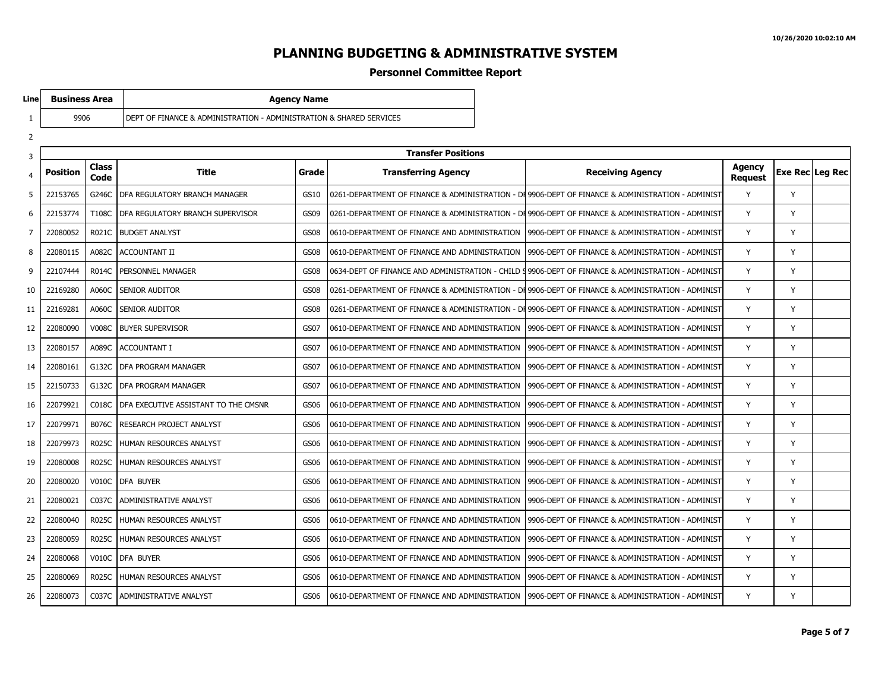#### **Personnel Committee Report**

**Line**

**DEPT OF FINANCE & ADMINISTRATION - ADMINISTRATION & SHARED SERVICES** 

**Business Area Agency Name** 

| ۳<br>۰, |
|---------|
|         |

| 3  |                 |                      |                                      |             | <b>Transfer Positions</b>                                                                          |                                                  |                          |   |                 |
|----|-----------------|----------------------|--------------------------------------|-------------|----------------------------------------------------------------------------------------------------|--------------------------------------------------|--------------------------|---|-----------------|
| 4  | <b>Position</b> | <b>Class</b><br>Code | Title                                | Grade       | <b>Transferring Agency</b>                                                                         | <b>Receiving Agency</b>                          | Agency<br><b>Request</b> |   | Exe Rec Leg Rec |
| 5  | 22153765        | G246C                | DFA REGULATORY BRANCH MANAGER        | GS10        | 0261-DEPARTMENT OF FINANCE & ADMINISTRATION - DI 9906-DEPT OF FINANCE & ADMINISTRATION - ADMINIST  |                                                  | Y                        | Y |                 |
| 6  | 22153774        | T108C                | DFA REGULATORY BRANCH SUPERVISOR     | GS09        | 0261-DEPARTMENT OF FINANCE & ADMINISTRATION - DI 9906-DEPT OF FINANCE & ADMINISTRATION - ADMINIST  |                                                  | Y                        | Y |                 |
| 7  | 22080052        | R021C                | <b>BUDGET ANALYST</b>                | <b>GS08</b> | 0610-DEPARTMENT OF FINANCE AND ADMINISTRATION                                                      | 9906-DEPT OF FINANCE & ADMINISTRATION - ADMINIST | Y                        | Y |                 |
| 8  | 22080115        | A082C                | <b>ACCOUNTANT II</b>                 | GS08        | 0610-DEPARTMENT OF FINANCE AND ADMINISTRATION                                                      | 9906-DEPT OF FINANCE & ADMINISTRATION - ADMINIST | Y                        | Y |                 |
| 9  | 22107444        | <b>R014C</b>         | PERSONNEL MANAGER                    | <b>GS08</b> | 0634-DEPT OF FINANCE AND ADMINISTRATION - CHILD § 9906-DEPT OF FINANCE & ADMINISTRATION - ADMINIST |                                                  | Y                        | Y |                 |
| 10 | 22169280        | A060C                | <b>SENIOR AUDITOR</b>                | <b>GS08</b> | 0261-DEPARTMENT OF FINANCE & ADMINISTRATION - DI 9906-DEPT OF FINANCE & ADMINISTRATION - ADMINIST  |                                                  | Y                        | Y |                 |
| 11 | 22169281        | A060C                | <b>SENIOR AUDITOR</b>                | GS08        | 0261-DEPARTMENT OF FINANCE & ADMINISTRATION - DI 9906-DEPT OF FINANCE & ADMINISTRATION - ADMINIST  |                                                  | Y                        | Y |                 |
| 12 | 22080090        | <b>V008C</b>         | <b>BUYER SUPERVISOR</b>              | <b>GS07</b> | 0610-DEPARTMENT OF FINANCE AND ADMINISTRATION                                                      | 9906-DEPT OF FINANCE & ADMINISTRATION - ADMINIST | Y                        | Y |                 |
| 13 | 22080157        | A089C                | ACCOUNTANT I                         | GS07        | 0610-DEPARTMENT OF FINANCE AND ADMINISTRATION                                                      | 9906-DEPT OF FINANCE & ADMINISTRATION - ADMINIST | Y                        | Y |                 |
| 14 | 22080161        | G132C                | <b>DFA PROGRAM MANAGER</b>           | GS07        | 0610-DEPARTMENT OF FINANCE AND ADMINISTRATION                                                      | 9906-DEPT OF FINANCE & ADMINISTRATION - ADMINIST | Y                        | Y |                 |
| 15 | 22150733        | G132C                | <b>DFA PROGRAM MANAGER</b>           | <b>GS07</b> | 0610-DEPARTMENT OF FINANCE AND ADMINISTRATION                                                      | 9906-DEPT OF FINANCE & ADMINISTRATION - ADMINIST | Y                        | Y |                 |
| 16 | 22079921        | C018C                | DFA EXECUTIVE ASSISTANT TO THE CMSNR | GS06        | 0610-DEPARTMENT OF FINANCE AND ADMINISTRATION                                                      | 9906-DEPT OF FINANCE & ADMINISTRATION - ADMINIST | Y                        | Y |                 |
| 17 | 22079971        | <b>B076C</b>         | RESEARCH PROJECT ANALYST             | GS06        | 0610-DEPARTMENT OF FINANCE AND ADMINISTRATION                                                      | 9906-DEPT OF FINANCE & ADMINISTRATION - ADMINIST | Y                        | Y |                 |
| 18 | 22079973        | <b>R025C</b>         | HUMAN RESOURCES ANALYST              | GS06        | 0610-DEPARTMENT OF FINANCE AND ADMINISTRATION                                                      | 9906-DEPT OF FINANCE & ADMINISTRATION - ADMINIST | Y                        | Y |                 |
| 19 | 22080008        | <b>R025C</b>         | HUMAN RESOURCES ANALYST              | GS06        | 0610-DEPARTMENT OF FINANCE AND ADMINISTRATION                                                      | 9906-DEPT OF FINANCE & ADMINISTRATION - ADMINIST | Y                        | Y |                 |
| 20 | 22080020        | <b>V010C</b>         | DFA BUYER                            | GS06        | 0610-DEPARTMENT OF FINANCE AND ADMINISTRATION                                                      | 9906-DEPT OF FINANCE & ADMINISTRATION - ADMINIST | Y                        | Y |                 |
| 21 | 22080021        | C037C                | ADMINISTRATIVE ANALYST               | GS06        | 0610-DEPARTMENT OF FINANCE AND ADMINISTRATION                                                      | 9906-DEPT OF FINANCE & ADMINISTRATION - ADMINIST | Y                        | Y |                 |
| 22 | 22080040        | <b>R025C</b>         | HUMAN RESOURCES ANALYST              | GS06        | 0610-DEPARTMENT OF FINANCE AND ADMINISTRATION                                                      | 9906-DEPT OF FINANCE & ADMINISTRATION - ADMINIST | Y                        | Y |                 |
| 23 | 22080059        | <b>R025C</b>         | HUMAN RESOURCES ANALYST              | GS06        | 0610-DEPARTMENT OF FINANCE AND ADMINISTRATION                                                      | 9906-DEPT OF FINANCE & ADMINISTRATION - ADMINIST | Y                        | Y |                 |
| 24 | 22080068        | V010C                | DFA BUYER                            | GS06        | 0610-DEPARTMENT OF FINANCE AND ADMINISTRATION                                                      | 9906-DEPT OF FINANCE & ADMINISTRATION - ADMINIST | Y                        | Y |                 |
| 25 | 22080069        | <b>R025C</b>         | HUMAN RESOURCES ANALYST              | GS06        | 0610-DEPARTMENT OF FINANCE AND ADMINISTRATION                                                      | 9906-DEPT OF FINANCE & ADMINISTRATION - ADMINIST | Y                        | Y |                 |
| 26 | 22080073        | C037C                | ADMINISTRATIVE ANALYST               | GS06        | 0610-DEPARTMENT OF FINANCE AND ADMINISTRATION                                                      | 9906-DEPT OF FINANCE & ADMINISTRATION - ADMINIST | Y                        | Y |                 |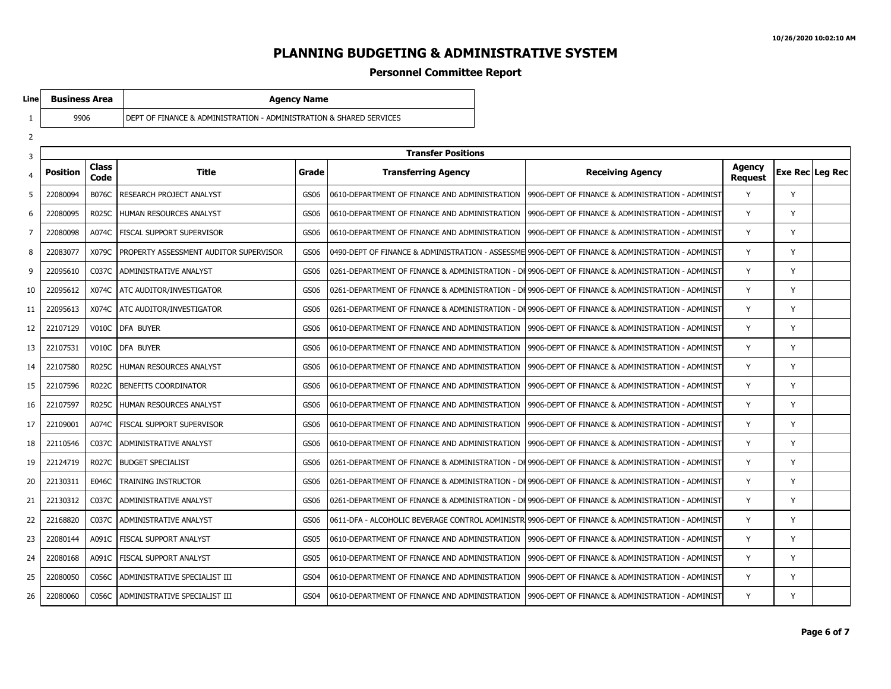#### **Personnel Committee Report**

9906 DEPT OF FINANCE & ADMINISTRATION - ADMINISTRATION & SHARED SERVICES

**Business Area Agency Name** 

**Line**

| <b>Transfer Positions</b><br>3 |                 |                      |                                        |             |                                               |                                                                                                   |                          |                        |  |
|--------------------------------|-----------------|----------------------|----------------------------------------|-------------|-----------------------------------------------|---------------------------------------------------------------------------------------------------|--------------------------|------------------------|--|
| $\overline{4}$                 | <b>Position</b> | <b>Class</b><br>Code | Title                                  | Grade       | <b>Transferring Agency</b>                    | <b>Receiving Agency</b>                                                                           | Agency<br><b>Request</b> | <b>Exe Rec Leg Rec</b> |  |
| 5                              | 22080094        | <b>B076C</b>         | RESEARCH PROJECT ANALYST               | GS06        | 0610-DEPARTMENT OF FINANCE AND ADMINISTRATION | 9906-DEPT OF FINANCE & ADMINISTRATION - ADMINIST                                                  | Y                        | Y                      |  |
| 6                              | 22080095        | <b>R025C</b>         | HUMAN RESOURCES ANALYST                | GS06        | 0610-DEPARTMENT OF FINANCE AND ADMINISTRATION | 9906-DEPT OF FINANCE & ADMINISTRATION - ADMINIST                                                  | Y                        | Y                      |  |
| $\overline{7}$                 | 22080098        | A074C                | FISCAL SUPPORT SUPERVISOR              | GS06        | 0610-DEPARTMENT OF FINANCE AND ADMINISTRATION | 19906-DEPT OF FINANCE & ADMINISTRATION - ADMINIST                                                 | Y                        | Y                      |  |
| 8                              | 22083077        | X079C                | PROPERTY ASSESSMENT AUDITOR SUPERVISOR | GS06        |                                               | 0490-DEPT OF FINANCE & ADMINISTRATION - ASSESSME 9906-DEPT OF FINANCE & ADMINISTRATION - ADMINIST | Y                        | Y                      |  |
| 9                              | 22095610        | C037C                | ADMINISTRATIVE ANALYST                 | GS06        |                                               | 0261-DEPARTMENT OF FINANCE & ADMINISTRATION - DI 9906-DEPT OF FINANCE & ADMINISTRATION - ADMINIST | Y                        | Y                      |  |
| 10                             | 22095612        | X074C                | ATC AUDITOR/INVESTIGATOR               | GS06        |                                               | 0261-DEPARTMENT OF FINANCE & ADMINISTRATION - DI 9906-DEPT OF FINANCE & ADMINISTRATION - ADMINIST | Y                        | Y                      |  |
| 11                             | 22095613        | X074C                | ATC AUDITOR/INVESTIGATOR               | GS06        |                                               | 0261-DEPARTMENT OF FINANCE & ADMINISTRATION - DI 9906-DEPT OF FINANCE & ADMINISTRATION - ADMINIST | Y                        | Y                      |  |
| 12                             | 22107129        | V010C                | DFA BUYER                              | GS06        | 0610-DEPARTMENT OF FINANCE AND ADMINISTRATION | 9906-DEPT OF FINANCE & ADMINISTRATION - ADMINIST                                                  | Y                        | Y                      |  |
| 13                             | 22107531        |                      | V010C   DFA BUYER                      | GS06        | 0610-DEPARTMENT OF FINANCE AND ADMINISTRATION | 19906-DEPT OF FINANCE & ADMINISTRATION - ADMINIST                                                 | Y                        | Y                      |  |
| 14                             | 22107580        | <b>R025C</b>         | HUMAN RESOURCES ANALYST                | GS06        | 0610-DEPARTMENT OF FINANCE AND ADMINISTRATION | 9906-DEPT OF FINANCE & ADMINISTRATION - ADMINIST                                                  | Y                        | Y                      |  |
| 15                             | 22107596        | <b>R022C</b>         | <b>BENEFITS COORDINATOR</b>            | GS06        | 0610-DEPARTMENT OF FINANCE AND ADMINISTRATION | 19906-DEPT OF FINANCE & ADMINISTRATION - ADMINIST                                                 | Y                        | Y                      |  |
| 16                             | 22107597        | <b>R025C</b>         | HUMAN RESOURCES ANALYST                | GS06        | 0610-DEPARTMENT OF FINANCE AND ADMINISTRATION | 9906-DEPT OF FINANCE & ADMINISTRATION - ADMINIST                                                  | Y                        | Y                      |  |
| 17                             | 22109001        | A074C                | <b>FISCAL SUPPORT SUPERVISOR</b>       | GS06        | 0610-DEPARTMENT OF FINANCE AND ADMINISTRATION | l 9906-DEPT OF FINANCE & ADMINISTRATION - ADMINIST                                                | Y                        | Y                      |  |
| 18                             | 22110546        | C037C                | ADMINISTRATIVE ANALYST                 | GS06        | 0610-DEPARTMENT OF FINANCE AND ADMINISTRATION | 9906-DEPT OF FINANCE & ADMINISTRATION - ADMINIST                                                  | Y                        | Y                      |  |
| 19                             | 22124719        | R027C                | <b>BUDGET SPECIALIST</b>               | GS06        |                                               | 0261-DEPARTMENT OF FINANCE & ADMINISTRATION - DI 9906-DEPT OF FINANCE & ADMINISTRATION - ADMINIST | Y                        | Y                      |  |
| 20                             | 22130311        | E046C                | TRAINING INSTRUCTOR                    | GS06        |                                               | 0261-DEPARTMENT OF FINANCE & ADMINISTRATION - DI 9906-DEPT OF FINANCE & ADMINISTRATION - ADMINIST | Y                        | Y                      |  |
| 21                             | 22130312        | C037C                | ADMINISTRATIVE ANALYST                 | GS06        |                                               | 0261-DEPARTMENT OF FINANCE & ADMINISTRATION - DI 9906-DEPT OF FINANCE & ADMINISTRATION - ADMINIST | Y                        | Y                      |  |
| 22                             | 22168820        | C037C                | ADMINISTRATIVE ANALYST                 | GS06        |                                               | 0611-DFA - ALCOHOLIC BEVERAGE CONTROL ADMINISTR 9906-DEPT OF FINANCE & ADMINISTRATION - ADMINIST  | Y                        | Y                      |  |
| 23                             | 22080144        | A091C                | FISCAL SUPPORT ANALYST                 | <b>GS05</b> | 0610-DEPARTMENT OF FINANCE AND ADMINISTRATION | 9906-DEPT OF FINANCE & ADMINISTRATION - ADMINIST                                                  | Y                        | Y                      |  |
| 24                             | 22080168        | A091C                | I FISCAL SUPPORT ANALYST               | GS05        | 0610-DEPARTMENT OF FINANCE AND ADMINISTRATION | 19906-DEPT OF FINANCE & ADMINISTRATION - ADMINIST                                                 | Y                        | Y                      |  |
| 25                             | 22080050        | C056C                | ADMINISTRATIVE SPECIALIST III          | <b>GS04</b> | 0610-DEPARTMENT OF FINANCE AND ADMINISTRATION | 19906-DEPT OF FINANCE & ADMINISTRATION - ADMINIST                                                 | Y                        | Y                      |  |
| 26                             | 22080060        | C056C                | ADMINISTRATIVE SPECIALIST III          | GS04        | 0610-DEPARTMENT OF FINANCE AND ADMINISTRATION | 9906-DEPT OF FINANCE & ADMINISTRATION - ADMINIST                                                  | Y                        | Y                      |  |